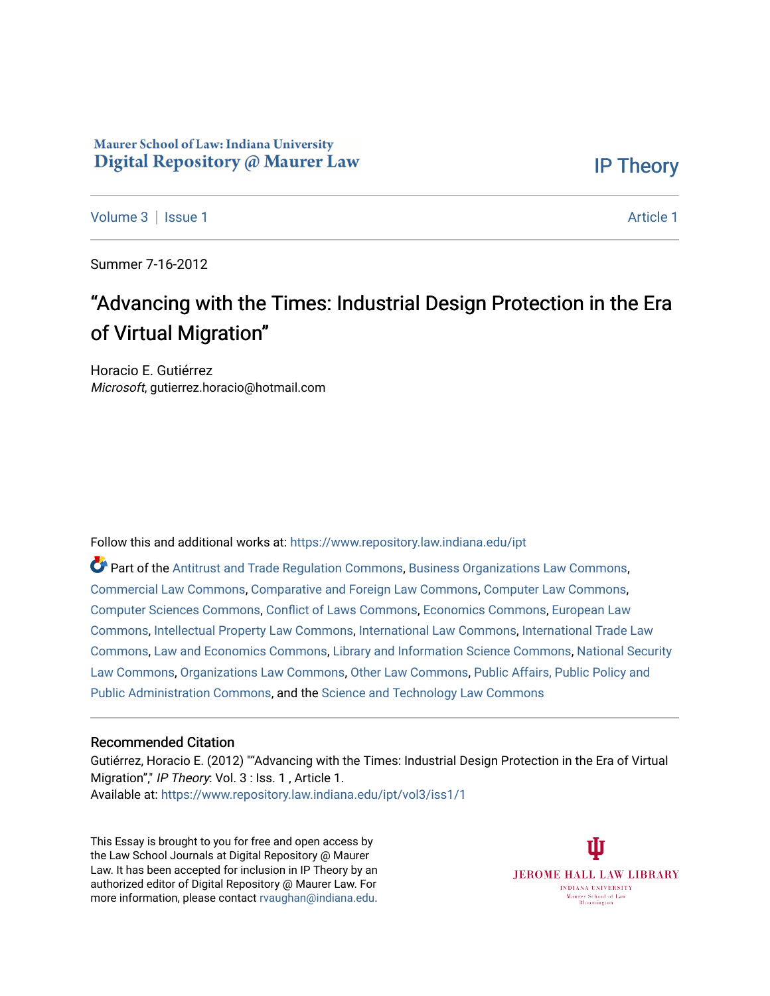## Maurer School of Law: Indiana University Digital Repository @ Maurer Law

[IP Theory](https://www.repository.law.indiana.edu/ipt) 

[Volume 3](https://www.repository.law.indiana.edu/ipt/vol3) | [Issue 1](https://www.repository.law.indiana.edu/ipt/vol3/iss1) [Article 1](https://www.repository.law.indiana.edu/ipt/vol3/iss1/1) Article 1 Article 1 Article 1 Article 1 Article 1 Article 1 Article 1 Article 1 A

Summer 7-16-2012

# "Advancing with the Times: Industrial Design Protection in the Era of Virtual Migration"

Horacio E. Gutiérrez Microsoft, gutierrez.horacio@hotmail.com

Follow this and additional works at: [https://www.repository.law.indiana.edu/ipt](https://www.repository.law.indiana.edu/ipt?utm_source=www.repository.law.indiana.edu%2Fipt%2Fvol3%2Fiss1%2F1&utm_medium=PDF&utm_campaign=PDFCoverPages) 

Part of the [Antitrust and Trade Regulation Commons,](http://network.bepress.com/hgg/discipline/911?utm_source=www.repository.law.indiana.edu%2Fipt%2Fvol3%2Fiss1%2F1&utm_medium=PDF&utm_campaign=PDFCoverPages) [Business Organizations Law Commons](http://network.bepress.com/hgg/discipline/900?utm_source=www.repository.law.indiana.edu%2Fipt%2Fvol3%2Fiss1%2F1&utm_medium=PDF&utm_campaign=PDFCoverPages), [Commercial Law Commons](http://network.bepress.com/hgg/discipline/586?utm_source=www.repository.law.indiana.edu%2Fipt%2Fvol3%2Fiss1%2F1&utm_medium=PDF&utm_campaign=PDFCoverPages), [Comparative and Foreign Law Commons](http://network.bepress.com/hgg/discipline/836?utm_source=www.repository.law.indiana.edu%2Fipt%2Fvol3%2Fiss1%2F1&utm_medium=PDF&utm_campaign=PDFCoverPages), [Computer Law Commons](http://network.bepress.com/hgg/discipline/837?utm_source=www.repository.law.indiana.edu%2Fipt%2Fvol3%2Fiss1%2F1&utm_medium=PDF&utm_campaign=PDFCoverPages), [Computer Sciences Commons](http://network.bepress.com/hgg/discipline/142?utm_source=www.repository.law.indiana.edu%2Fipt%2Fvol3%2Fiss1%2F1&utm_medium=PDF&utm_campaign=PDFCoverPages), [Conflict of Laws Commons](http://network.bepress.com/hgg/discipline/588?utm_source=www.repository.law.indiana.edu%2Fipt%2Fvol3%2Fiss1%2F1&utm_medium=PDF&utm_campaign=PDFCoverPages), [Economics Commons,](http://network.bepress.com/hgg/discipline/340?utm_source=www.repository.law.indiana.edu%2Fipt%2Fvol3%2Fiss1%2F1&utm_medium=PDF&utm_campaign=PDFCoverPages) [European Law](http://network.bepress.com/hgg/discipline/1084?utm_source=www.repository.law.indiana.edu%2Fipt%2Fvol3%2Fiss1%2F1&utm_medium=PDF&utm_campaign=PDFCoverPages)  [Commons](http://network.bepress.com/hgg/discipline/1084?utm_source=www.repository.law.indiana.edu%2Fipt%2Fvol3%2Fiss1%2F1&utm_medium=PDF&utm_campaign=PDFCoverPages), [Intellectual Property Law Commons](http://network.bepress.com/hgg/discipline/896?utm_source=www.repository.law.indiana.edu%2Fipt%2Fvol3%2Fiss1%2F1&utm_medium=PDF&utm_campaign=PDFCoverPages), [International Law Commons,](http://network.bepress.com/hgg/discipline/609?utm_source=www.repository.law.indiana.edu%2Fipt%2Fvol3%2Fiss1%2F1&utm_medium=PDF&utm_campaign=PDFCoverPages) [International Trade Law](http://network.bepress.com/hgg/discipline/848?utm_source=www.repository.law.indiana.edu%2Fipt%2Fvol3%2Fiss1%2F1&utm_medium=PDF&utm_campaign=PDFCoverPages)  [Commons](http://network.bepress.com/hgg/discipline/848?utm_source=www.repository.law.indiana.edu%2Fipt%2Fvol3%2Fiss1%2F1&utm_medium=PDF&utm_campaign=PDFCoverPages), [Law and Economics Commons](http://network.bepress.com/hgg/discipline/612?utm_source=www.repository.law.indiana.edu%2Fipt%2Fvol3%2Fiss1%2F1&utm_medium=PDF&utm_campaign=PDFCoverPages), [Library and Information Science Commons,](http://network.bepress.com/hgg/discipline/1018?utm_source=www.repository.law.indiana.edu%2Fipt%2Fvol3%2Fiss1%2F1&utm_medium=PDF&utm_campaign=PDFCoverPages) [National Security](http://network.bepress.com/hgg/discipline/1114?utm_source=www.repository.law.indiana.edu%2Fipt%2Fvol3%2Fiss1%2F1&utm_medium=PDF&utm_campaign=PDFCoverPages)  [Law Commons,](http://network.bepress.com/hgg/discipline/1114?utm_source=www.repository.law.indiana.edu%2Fipt%2Fvol3%2Fiss1%2F1&utm_medium=PDF&utm_campaign=PDFCoverPages) [Organizations Law Commons](http://network.bepress.com/hgg/discipline/865?utm_source=www.repository.law.indiana.edu%2Fipt%2Fvol3%2Fiss1%2F1&utm_medium=PDF&utm_campaign=PDFCoverPages), [Other Law Commons,](http://network.bepress.com/hgg/discipline/621?utm_source=www.repository.law.indiana.edu%2Fipt%2Fvol3%2Fiss1%2F1&utm_medium=PDF&utm_campaign=PDFCoverPages) [Public Affairs, Public Policy and](http://network.bepress.com/hgg/discipline/393?utm_source=www.repository.law.indiana.edu%2Fipt%2Fvol3%2Fiss1%2F1&utm_medium=PDF&utm_campaign=PDFCoverPages) [Public Administration Commons,](http://network.bepress.com/hgg/discipline/393?utm_source=www.repository.law.indiana.edu%2Fipt%2Fvol3%2Fiss1%2F1&utm_medium=PDF&utm_campaign=PDFCoverPages) and the [Science and Technology Law Commons](http://network.bepress.com/hgg/discipline/875?utm_source=www.repository.law.indiana.edu%2Fipt%2Fvol3%2Fiss1%2F1&utm_medium=PDF&utm_campaign=PDFCoverPages) 

## Recommended Citation

Gutiérrez, Horacio E. (2012) ""Advancing with the Times: Industrial Design Protection in the Era of Virtual Migration"," IP Theory: Vol. 3 : Iss. 1, Article 1. Available at: [https://www.repository.law.indiana.edu/ipt/vol3/iss1/1](https://www.repository.law.indiana.edu/ipt/vol3/iss1/1?utm_source=www.repository.law.indiana.edu%2Fipt%2Fvol3%2Fiss1%2F1&utm_medium=PDF&utm_campaign=PDFCoverPages) 

This Essay is brought to you for free and open access by the Law School Journals at Digital Repository @ Maurer Law. It has been accepted for inclusion in IP Theory by an authorized editor of Digital Repository @ Maurer Law. For more information, please contact [rvaughan@indiana.edu](mailto:rvaughan@indiana.edu).

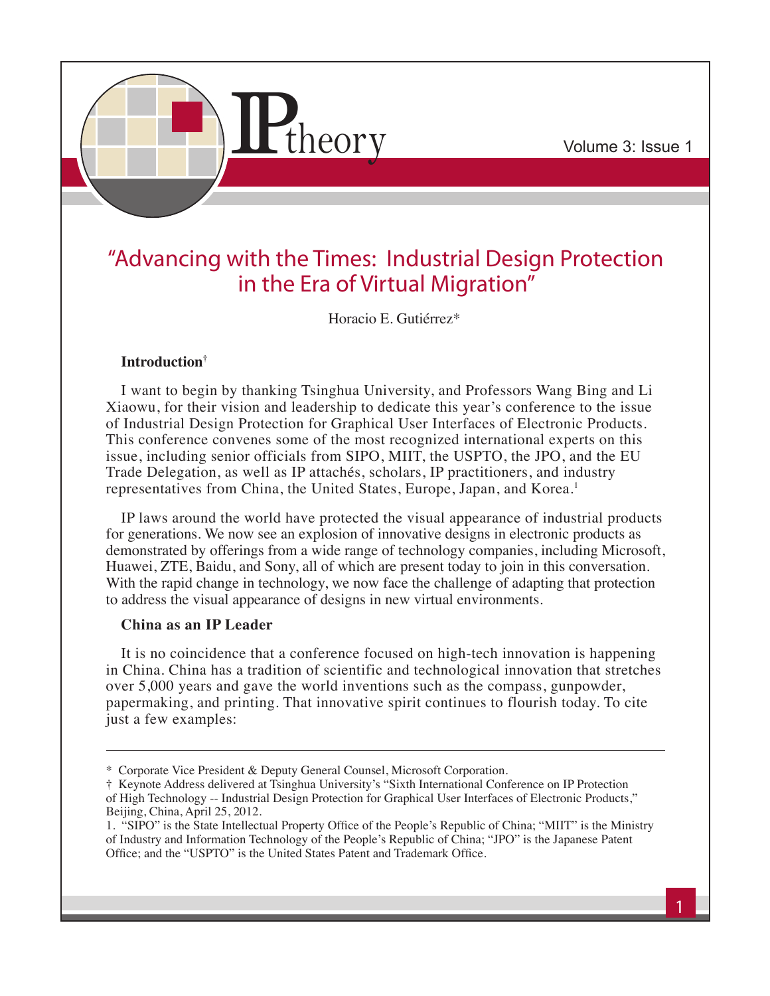

# "Advancing with the Times: Industrial Design Protection in the Era of Virtual Migration"

Horacio E. Gutiérrez\*

## **Introduction†**

I want to begin by thanking Tsinghua University, and Professors Wang Bing and Li Xiaowu, for their vision and leadership to dedicate this year's conference to the issue of Industrial Design Protection for Graphical User Interfaces of Electronic Products. This conference convenes some of the most recognized international experts on this issue, including senior officials from SIPO, MIIT, the USPTO, the JPO, and the EU Trade Delegation, as well as IP attachés, scholars, IP practitioners, and industry representatives from China, the United States, Europe, Japan, and Korea.<sup>1</sup>

IP laws around the world have protected the visual appearance of industrial products for generations. We now see an explosion of innovative designs in electronic products as demonstrated by offerings from a wide range of technology companies, including Microsoft, Huawei, ZTE, Baidu, and Sony, all of which are present today to join in this conversation. With the rapid change in technology, we now face the challenge of adapting that protection to address the visual appearance of designs in new virtual environments.

## **China as an IP Leader**

It is no coincidence that a conference focused on high-tech innovation is happening in China. China has a tradition of scientific and technological innovation that stretches over 5,000 years and gave the world inventions such as the compass, gunpowder, papermaking, and printing. That innovative spirit continues to flourish today. To cite just a few examples:

<sup>\*</sup> Corporate Vice President & Deputy General Counsel, Microsoft Corporation.

<sup>†</sup> Keynote Address delivered at Tsinghua University's "Sixth International Conference on IP Protection of High Technology -- Industrial Design Protection for Graphical User Interfaces of Electronic Products," Beijing, China, April 25, 2012.

<sup>1. &</sup>quot;SIPO" is the State Intellectual Property Office of the People's Republic of China; "MIIT" is the Ministry of Industry and Information Technology of the People's Republic of China; "JPO" is the Japanese Patent Office; and the "USPTO" is the United States Patent and Trademark Office.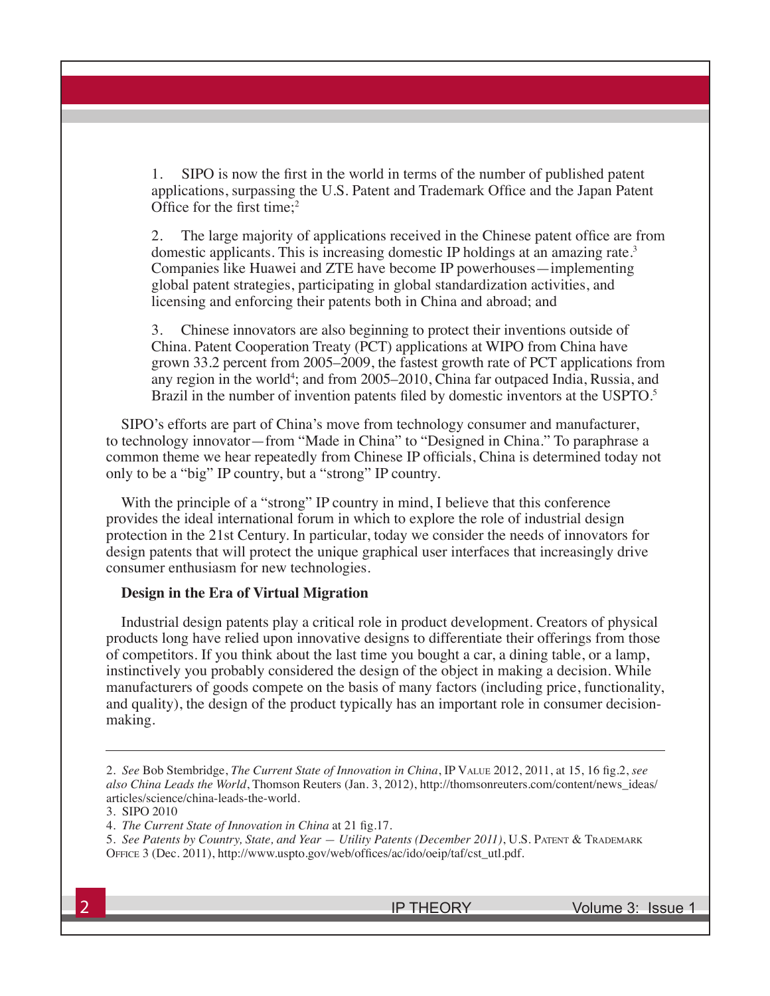1. SIPO is now the first in the world in terms of the number of published patent applications, surpassing the U.S. Patent and Trademark Office and the Japan Patent Office for the first time;<sup>2</sup>

2. The large majority of applications received in the Chinese patent office are from domestic applicants. This is increasing domestic IP holdings at an amazing rate.3 Companies like Huawei and ZTE have become IP powerhouses—implementing global patent strategies, participating in global standardization activities, and licensing and enforcing their patents both in China and abroad; and

3. Chinese innovators are also beginning to protect their inventions outside of China. Patent Cooperation Treaty (PCT) applications at WIPO from China have grown 33.2 percent from 2005–2009, the fastest growth rate of PCT applications from any region in the world<sup>4</sup>; and from 2005–2010, China far outpaced India, Russia, and Brazil in the number of invention patents filed by domestic inventors at the USPTO.<sup>5</sup>

SIPO's efforts are part of China's move from technology consumer and manufacturer, to technology innovator—from "Made in China" to "Designed in China." To paraphrase a common theme we hear repeatedly from Chinese IP officials, China is determined today not only to be a "big" IP country, but a "strong" IP country.

With the principle of a "strong" IP country in mind, I believe that this conference provides the ideal international forum in which to explore the role of industrial design protection in the 21st Century. In particular, today we consider the needs of innovators for design patents that will protect the unique graphical user interfaces that increasingly drive consumer enthusiasm for new technologies.

#### **Design in the Era of Virtual Migration**

Industrial design patents play a critical role in product development. Creators of physical products long have relied upon innovative designs to differentiate their offerings from those of competitors. If you think about the last time you bought a car, a dining table, or a lamp, instinctively you probably considered the design of the object in making a decision. While manufacturers of goods compete on the basis of many factors (including price, functionality, and quality), the design of the product typically has an important role in consumer decisionmaking.

<sup>2.</sup> *See* Bob Stembridge, *The Current State of Innovation in China*, IP Value 2012, 2011, at 15, 16 fig.2, *see also China Leads the World*, Thomson Reuters (Jan. 3, 2012), http://thomsonreuters.com/content/news\_ideas/ articles/science/china-leads-the-world.

<sup>3.</sup> SIPO 2010

<sup>4.</sup> *The Current State of Innovation in China* at 21 fig.17.

<sup>5.</sup> *See Patents by Country, State, and Year — Utility Patents (December 2011)*, U.S. Patent & Trademark Office 3 (Dec. 2011), http://www.uspto.gov/web/offices/ac/ido/oeip/taf/cst\_utl.pdf.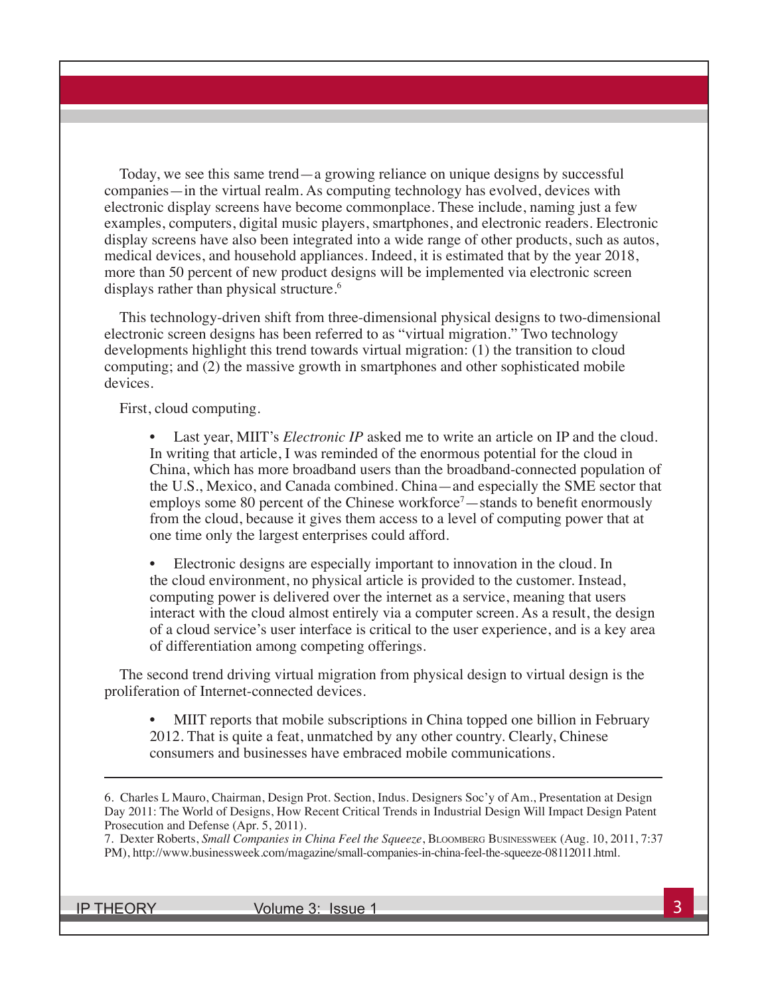Today, we see this same trend—a growing reliance on unique designs by successful companies—in the virtual realm. As computing technology has evolved, devices with electronic display screens have become commonplace. These include, naming just a few examples, computers, digital music players, smartphones, and electronic readers. Electronic display screens have also been integrated into a wide range of other products, such as autos, medical devices, and household appliances. Indeed, it is estimated that by the year 2018, more than 50 percent of new product designs will be implemented via electronic screen displays rather than physical structure.<sup>6</sup>

This technology-driven shift from three-dimensional physical designs to two-dimensional electronic screen designs has been referred to as "virtual migration." Two technology developments highlight this trend towards virtual migration: (1) the transition to cloud computing; and (2) the massive growth in smartphones and other sophisticated mobile devices.

First, cloud computing.

Last year, MIIT's *Electronic IP* asked me to write an article on IP and the cloud. In writing that article, I was reminded of the enormous potential for the cloud in China, which has more broadband users than the broadband-connected population of the U.S., Mexico, and Canada combined. China—and especially the SME sector that employs some 80 percent of the Chinese workforce<sup>7</sup>—stands to benefit enormously from the cloud, because it gives them access to a level of computing power that at one time only the largest enterprises could afford.

• Electronic designs are especially important to innovation in the cloud. In the cloud environment, no physical article is provided to the customer. Instead, computing power is delivered over the internet as a service, meaning that users interact with the cloud almost entirely via a computer screen. As a result, the design of a cloud service's user interface is critical to the user experience, and is a key area of differentiation among competing offerings.

The second trend driving virtual migration from physical design to virtual design is the proliferation of Internet-connected devices.

• MIIT reports that mobile subscriptions in China topped one billion in February 2012. That is quite a feat, unmatched by any other country. Clearly, Chinese consumers and businesses have embraced mobile communications.

7. Dexter Roberts, *Small Companies in China Feel the Squeeze*, Bloomberg Businessweek (Aug. 10, 2011, 7:37 PM), http://www.businessweek.com/magazine/small-companies-in-china-feel-the-squeeze-08112011.html.

IP THEORY Volume 3: Issue 1 3

<sup>6.</sup> Charles L Mauro, Chairman, Design Prot. Section, Indus. Designers Soc'y of Am., Presentation at Design Day 2011: The World of Designs, How Recent Critical Trends in Industrial Design Will Impact Design Patent Prosecution and Defense (Apr. 5, 2011).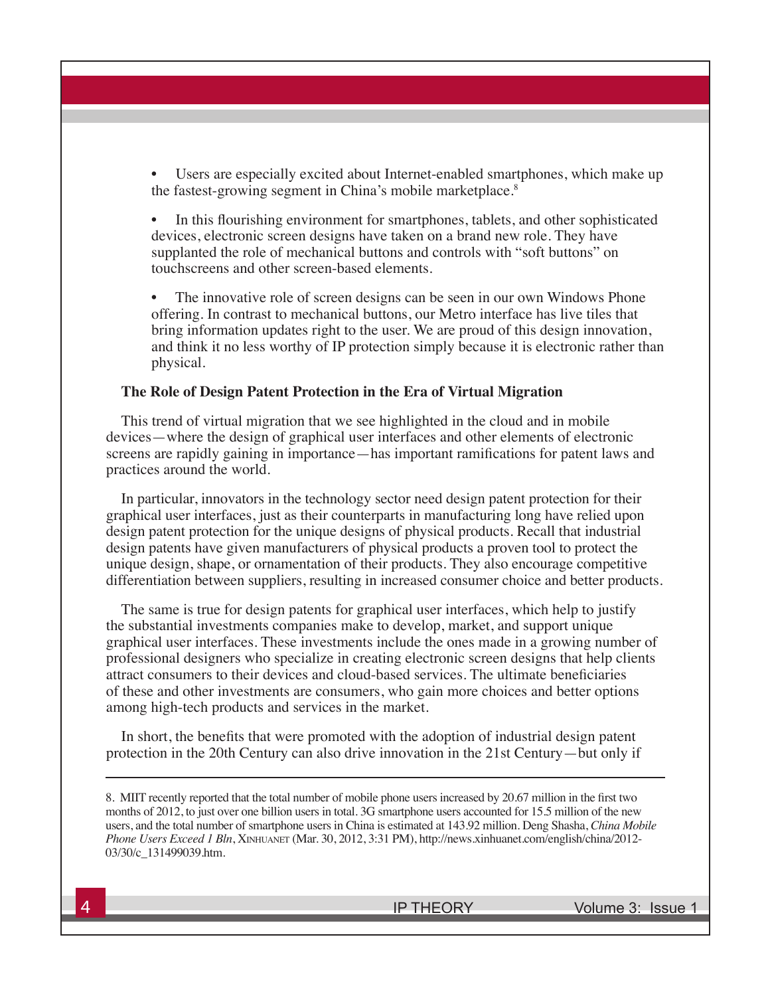Users are especially excited about Internet-enabled smartphones, which make up the fastest-growing segment in China's mobile marketplace.<sup>8</sup>

• In this flourishing environment for smartphones, tablets, and other sophisticated devices, electronic screen designs have taken on a brand new role. They have supplanted the role of mechanical buttons and controls with "soft buttons" on touchscreens and other screen-based elements.

The innovative role of screen designs can be seen in our own Windows Phone offering. In contrast to mechanical buttons, our Metro interface has live tiles that bring information updates right to the user. We are proud of this design innovation, and think it no less worthy of IP protection simply because it is electronic rather than physical.

#### **The Role of Design Patent Protection in the Era of Virtual Migration**

This trend of virtual migration that we see highlighted in the cloud and in mobile devices—where the design of graphical user interfaces and other elements of electronic screens are rapidly gaining in importance—has important ramifications for patent laws and practices around the world.

In particular, innovators in the technology sector need design patent protection for their graphical user interfaces, just as their counterparts in manufacturing long have relied upon design patent protection for the unique designs of physical products. Recall that industrial design patents have given manufacturers of physical products a proven tool to protect the unique design, shape, or ornamentation of their products. They also encourage competitive differentiation between suppliers, resulting in increased consumer choice and better products.

The same is true for design patents for graphical user interfaces, which help to justify the substantial investments companies make to develop, market, and support unique graphical user interfaces. These investments include the ones made in a growing number of professional designers who specialize in creating electronic screen designs that help clients attract consumers to their devices and cloud-based services. The ultimate beneficiaries of these and other investments are consumers, who gain more choices and better options among high-tech products and services in the market.

In short, the benefits that were promoted with the adoption of industrial design patent protection in the 20th Century can also drive innovation in the 21st Century—but only if

<sup>8.</sup> MIIT recently reported that the total number of mobile phone users increased by 20.67 million in the first two months of 2012, to just over one billion users in total. 3G smartphone users accounted for 15.5 million of the new users, and the total number of smartphone users in China is estimated at 143.92 million. Deng Shasha, *China Mobile Phone Users Exceed 1 Bln*, Xinhuanet (Mar. 30, 2012, 3:31 PM), http://news.xinhuanet.com/english/china/2012- 03/30/c\_131499039.htm.